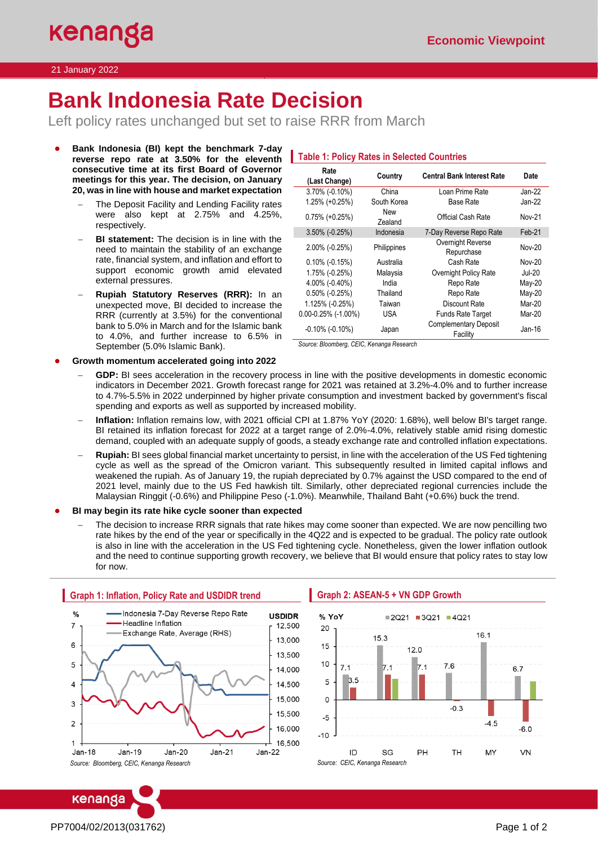# **Bank Indonesia Rate Decision**

Left policy rates unchanged but set to raise RRR from March

- **Bank Indonesia (BI) kept the benchmark 7-day reverse repo rate at 3.50% for the eleventh consecutive time at its first Board of Governor meetings for this year. The decision, on January 20, was in line with house and market expectation** 
	- The Deposit Facility and Lending Facility rates were also kept at 2.75% and 4.25%, respectively.
	- **BI statement:** The decision is in line with the need to maintain the stability of an exchange rate, financial system, and inflation and effort to support economic growth amid elevated external pressures.
	- − **Rupiah Statutory Reserves (RRR):** In an unexpected move, BI decided to increase the RRR (currently at 3.5%) for the conventional bank to 5.0% in March and for the Islamic bank to 4.0%, and further increase to 6.5% in September (5.0% Islamic Bank).

### **Table 1: Policy Rates in Selected Countries**

| Rate<br>(Last Change)    | Country        | <b>Central Bank Interest Rate</b>        | Date          |
|--------------------------|----------------|------------------------------------------|---------------|
| $3.70\%$ (-0.10%)        | China          | Loan Prime Rate                          | $Jan-22$      |
| 1.25% (+0.25%)           | South Korea    | <b>Base Rate</b>                         | Jan-22        |
| $0.75\%$ (+0.25%)        | New<br>Zealand | Official Cash Rate                       | Nov-21        |
| $3.50\%$ (-0.25%)        | Indonesia      | 7-Day Reverse Repo Rate                  | Feb-21        |
| 2.00% (-0.25%)           | Philippines    | Overnight Reverse<br>Repurchase          | Nov-20        |
| $0.10\%$ (-0.15%)        | Australia      | Cash Rate                                | Nov-20        |
| 1.75% (-0.25%)           | Malaysia       | Overnight Policy Rate                    | <b>Jul-20</b> |
| 4.00% (-0.40%)           | India          | Repo Rate                                | $May-20$      |
| $0.50\%$ (-0.25%)        | Thailand       | Repo Rate                                | $May-20$      |
| 1.125% (-0.25%)          | Taiwan         | Discount Rate                            | Mar-20        |
| $0.00 - 0.25\%$ (-1.00%) | USA            | <b>Funds Rate Target</b>                 | Mar-20        |
| $-0.10\%$ ( $-0.10\%$ )  | Japan          | <b>Complementary Deposit</b><br>Facility | Jan-16        |

*Source: Bloomberg, CEIC, Kenanga Research*

- **Growth momentum accelerated going into 2022**
	- **GDP:** BI sees acceleration in the recovery process in line with the positive developments in domestic economic indicators in December 2021. Growth forecast range for 2021 was retained at 3.2%-4.0% and to further increase to 4.7%-5.5% in 2022 underpinned by higher private consumption and investment backed by government's fiscal spending and exports as well as supported by increased mobility.
	- − **Inflation:** Inflation remains low, with 2021 official CPI at 1.87% YoY (2020: 1.68%), well below BI's target range. BI retained its inflation forecast for 2022 at a target range of 2.0%-4.0%, relatively stable amid rising domestic demand, coupled with an adequate supply of goods, a steady exchange rate and controlled inflation expectations.
	- − **Rupiah:** BI sees global financial market uncertainty to persist, in line with the acceleration of the US Fed tightening cycle as well as the spread of the Omicron variant. This subsequently resulted in limited capital inflows and weakened the rupiah. As of January 19, the rupiah depreciated by 0.7% against the USD compared to the end of 2021 level, mainly due to the US Fed hawkish tilt. Similarly, other depreciated regional currencies include the Malaysian Ringgit (-0.6%) and Philippine Peso (-1.0%). Meanwhile, Thailand Baht (+0.6%) buck the trend.

**BI may begin its rate hike cycle sooner than expected** 

The decision to increase RRR signals that rate hikes may come sooner than expected. We are now pencilling two rate hikes by the end of the year or specifically in the 4Q22 and is expected to be gradual. The policy rate outlook is also in line with the acceleration in the US Fed tightening cycle. Nonetheless, given the lower inflation outlook and the need to continue supporting growth recovery, we believe that BI would ensure that policy rates to stay low for now.



## **Graph 2: ASEAN-5 + VN GDP Growth**



PP7004/02/2013(031762) Page 1 of 2

kenanga